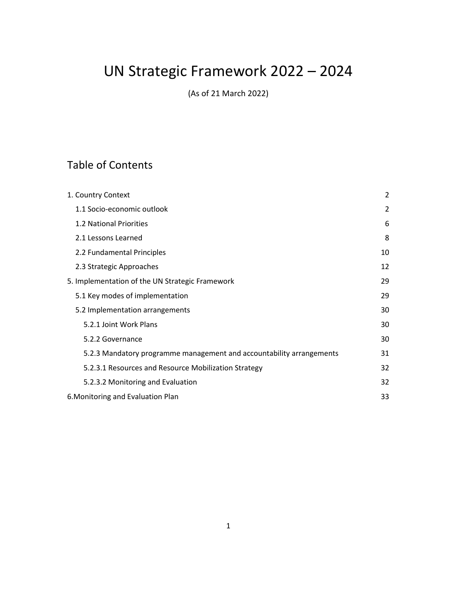# UN Strategic Framework 2022 – 2024

(As of 21 March 2022)

## Table of Contents

| 1. Country Context                                                   | 2  |
|----------------------------------------------------------------------|----|
| 1.1 Socio-economic outlook                                           | 2  |
| 1.2 National Priorities                                              | 6  |
| 2.1 Lessons Learned                                                  | 8  |
| 2.2 Fundamental Principles                                           | 10 |
| 2.3 Strategic Approaches                                             | 12 |
| 5. Implementation of the UN Strategic Framework                      | 29 |
| 5.1 Key modes of implementation                                      | 29 |
| 5.2 Implementation arrangements                                      | 30 |
| 5.2.1 Joint Work Plans                                               | 30 |
| 5.2.2 Governance                                                     | 30 |
| 5.2.3 Mandatory programme management and accountability arrangements | 31 |
| 5.2.3.1 Resources and Resource Mobilization Strategy                 | 32 |
| 5.2.3.2 Monitoring and Evaluation                                    | 32 |
| 6. Monitoring and Evaluation Plan                                    | 33 |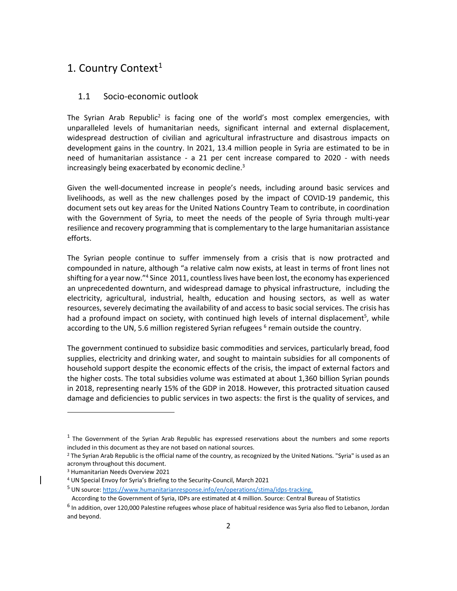## <span id="page-1-0"></span>1. Country Context<sup>1</sup>

#### <span id="page-1-1"></span>1.1 Socio-economic outlook

The Syrian Arab Republic<sup>2</sup> is facing one of the world's most complex emergencies, with unparalleled levels of humanitarian needs, significant internal and external displacement, widespread destruction of civilian and agricultural infrastructure and disastrous impacts on development gains in the country. In 2021, 13.4 million people in Syria are estimated to be in need of humanitarian assistance - a 21 per cent increase compared to 2020 - with needs increasingly being exacerbated by economic decline.<sup>3</sup>

Given the well-documented increase in people's needs, including around basic services and livelihoods, as well as the new challenges posed by the impact of COVID-19 pandemic, this document sets out key areas for the United Nations Country Team to contribute, in coordination with the Government of Syria, to meet the needs of the people of Syria through multi-year resilience and recovery programming that is complementary to the large humanitarian assistance efforts.

The Syrian people continue to suffer immensely from a crisis that is now protracted and compounded in nature, although "a relative calm now exists, at least in terms of front lines not shifting for a year now."<sup>4</sup> Since 2011, countless lives have been lost, the economy has experienced an unprecedented downturn, and widespread damage to physical infrastructure, including the electricity, agricultural, industrial, health, education and housing sectors, as well as water resources, severely decimating the availability of and access to basic social services. The crisis has had a profound impact on society, with continued high levels of internal displacement<sup>5</sup>, while according to the UN, 5.6 million registered Syrian refugees <sup>6</sup> remain outside the country.

The government continued to subsidize basic commodities and services, particularly bread, food supplies, electricity and drinking water, and sought to maintain subsidies for all components of household support despite the economic effects of the crisis, the impact of external factors and the higher costs. The total subsidies volume was estimated at about 1,360 billion Syrian pounds in 2018, representing nearly 15% of the GDP in 2018. However, this protracted situation caused damage and deficiencies to public services in two aspects: the first is the quality of services, and

 $<sup>1</sup>$  The Government of the Syrian Arab Republic has expressed reservations about the numbers and some reports</sup> included in this document as they are not based on national sources.

<sup>&</sup>lt;sup>2</sup> The Syrian Arab Republic is the official name of the country, as recognized by the United Nations. "Syria" is used as an acronym throughout this document.

<sup>3</sup> Humanitarian Needs Overview 2021

<sup>4</sup> UN Special Envoy for Syria's Briefing to the Security-Council, March 2021

<sup>5</sup> UN source: [https://www.humanitarianresponse.info/en/operations/stima/idps-tracking.](https://www.humanitarianresponse.info/en/operations/stima/idps-tracking)

According to the Government of Syria, IDPs are estimated at 4 million. Source: Central Bureau of Statistics

<sup>&</sup>lt;sup>6</sup> In addition, over 120,000 Palestine refugees whose place of habitual residence was Syria also fled to Lebanon, Jordan and beyond.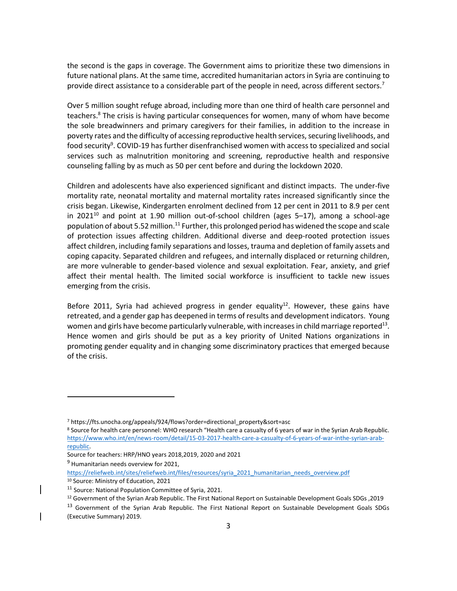the second is the gaps in coverage. The Government aims to prioritize these two dimensions in future national plans. At the same time, accredited humanitarian actors in Syria are continuing to provide direct assistance to a considerable part of the people in need, across different sectors.<sup>7</sup>

Over 5 million sought refuge abroad, including more than one third of health care personnel and teachers.<sup>8</sup> The crisis is having particular consequences for women, many of whom have become the sole breadwinners and primary caregivers for their families, in addition to the increase in poverty rates and the difficulty of accessing reproductive health services, securing livelihoods, and food security<sup>9</sup>. COVID-19 has further disenfranchised women with access to specialized and social services such as malnutrition monitoring and screening, reproductive health and responsive counseling falling by as much as 50 per cent before and during the lockdown 2020.

Children and adolescents have also experienced significant and distinct impacts. The under-five mortality rate, neonatal mortality and maternal mortality rates increased significantly since the crisis began. Likewise, Kindergarten enrolment declined from 12 per cent in 2011 to 8.9 per cent in 2021 $^{10}$  and point at 1.90 million out-of-school children (ages 5–17), among a school-age population of about 5.52 million.<sup>11</sup> Further, this prolonged period has widened the scope and scale of protection issues affecting children. Additional diverse and deep-rooted protection issues affect children, including family separations and losses, trauma and depletion of family assets and coping capacity. Separated children and refugees, and internally displaced or returning children, are more vulnerable to gender-based violence and sexual exploitation. Fear, anxiety, and grief affect their mental health. The limited social workforce is insufficient to tackle new issues emerging from the crisis.

Before 2011, Syria had achieved progress in gender equality<sup>12</sup>. However, these gains have retreated, and a gender gap has deepened in terms of results and development indicators. Young women and girls have become particularly vulnerable, with increases in child marriage reported $^{13}$ . Hence women and girls should be put as a key priority of United Nations organizations in promoting gender equality and in changing some discriminatory practices that emerged because of the crisis.

[https://reliefweb.int/sites/reliefweb.int/files/resources/syria\\_2021\\_humanitarian\\_needs\\_overview.pdf](https://reliefweb.int/sites/reliefweb.int/files/resources/syria_2021_humanitarian_needs_overview.pdf)

<sup>7</sup> https://fts.unocha.org/appeals/924/flows?order=directional\_property&sort=asc

<sup>8</sup> Source for health care personnel: WHO research "Health care a casualty of 6 years of war in the Syrian Arab Republic. [https://www.who.int/en/news-room/detail/15-03-2017-health-care-a-casualty-of-6-years-of-war-inthe-syrian-arab](https://www.who.int/en/news-room/detail/15-03-2017-health-care-a-casualty-of-6-years-of-war-inthe-syrian-arab-republic)[republic.](https://www.who.int/en/news-room/detail/15-03-2017-health-care-a-casualty-of-6-years-of-war-inthe-syrian-arab-republic)

Source for teachers: HRP/HNO years 2018,2019, 2020 and 2021

 $9$  Humanitarian needs overview for 2021,

<sup>10</sup> Source: Ministry of Education, 2021

<sup>&</sup>lt;sup>11</sup> Source: National Population Committee of Syria, 2021.

<sup>&</sup>lt;sup>12</sup> Government of the Syrian Arab Republic. The First National Report on Sustainable Development Goals SDGs , 2019

<sup>&</sup>lt;sup>13</sup> Government of the Syrian Arab Republic. The First National Report on Sustainable Development Goals SDGs (Executive Summary) 2019.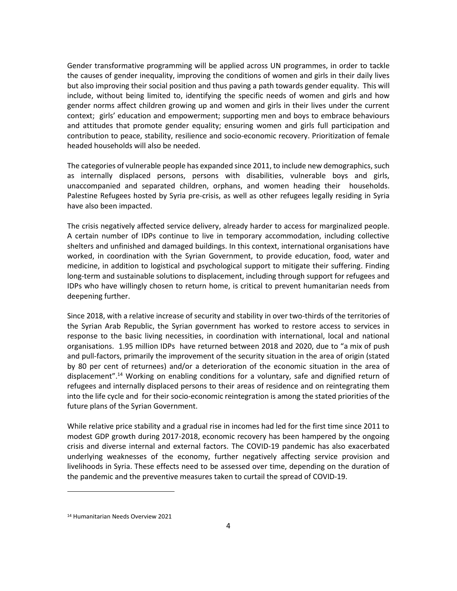Gender transformative programming will be applied across UN programmes, in order to tackle the causes of gender inequality, improving the conditions of women and girls in their daily lives but also improving their social position and thus paving a path towards gender equality. This will include, without being limited to, identifying the specific needs of women and girls and how gender norms affect children growing up and women and girls in their lives under the current context; girls' education and empowerment; supporting men and boys to embrace behaviours and attitudes that promote gender equality; ensuring women and girls full participation and contribution to peace, stability, resilience and socio-economic recovery. Prioritization of female headed households will also be needed.

The categories of vulnerable people has expanded since 2011, to include new demographics, such as internally displaced persons, persons with disabilities, vulnerable boys and girls, unaccompanied and separated children, orphans, and women heading their households. Palestine Refugees hosted by Syria pre-crisis, as well as other refugees legally residing in Syria have also been impacted.

The crisis negatively affected service delivery, already harder to access for marginalized people. A certain number of IDPs continue to live in temporary accommodation, including collective shelters and unfinished and damaged buildings. In this context, international organisations have worked, in coordination with the Syrian Government, to provide education, food, water and medicine, in addition to logistical and psychological support to mitigate their suffering. Finding long-term and sustainable solutions to displacement, including through support for refugees and IDPs who have willingly chosen to return home, is critical to prevent humanitarian needs from deepening further.

Since 2018, with a relative increase of security and stability in over two-thirds of the territories of the Syrian Arab Republic, the Syrian government has worked to restore access to services in response to the basic living necessities, in coordination with international, local and national organisations. 1.95 million IDPs have returned between 2018 and 2020, due to "a mix of push and pull-factors, primarily the improvement of the security situation in the area of origin (stated by 80 per cent of returnees) and/or a deterioration of the economic situation in the area of displacement".<sup>14</sup> Working on enabling conditions for a voluntary, safe and dignified return of refugees and internally displaced persons to their areas of residence and on reintegrating them into the life cycle and for their socio-economic reintegration is among the stated priorities of the future plans of the Syrian Government.

While relative price stability and a gradual rise in incomes had led for the first time since 2011 to modest GDP growth during 2017-2018, economic recovery has been hampered by the ongoing crisis and diverse internal and external factors. The COVID-19 pandemic has also exacerbated underlying weaknesses of the economy, further negatively affecting service provision and livelihoods in Syria. These effects need to be assessed over time, depending on the duration of the pandemic and the preventive measures taken to curtail the spread of COVID-19.

<sup>14</sup> Humanitarian Needs Overview 2021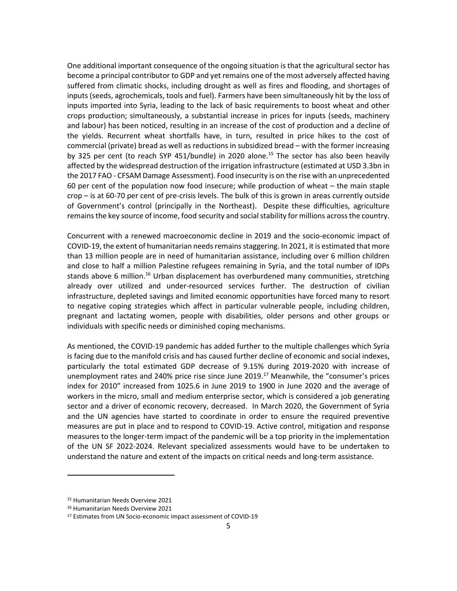One additional important consequence of the ongoing situation is that the agricultural sector has become a principal contributor to GDP and yet remains one of the most adversely affected having suffered from climatic shocks, including drought as well as fires and flooding, and shortages of inputs (seeds, agrochemicals, tools and fuel). Farmers have been simultaneously hit by the loss of inputs imported into Syria, leading to the lack of basic requirements to boost wheat and other crops production; simultaneously, a substantial increase in prices for inputs (seeds, machinery and labour) has been noticed, resulting in an increase of the cost of production and a decline of the yields. Recurrent wheat shortfalls have, in turn, resulted in price hikes to the cost of commercial (private) bread as well as reductions in subsidized bread – with the former increasing by 325 per cent (to reach SYP 451/bundle) in 2020 alone.<sup>15</sup> The sector has also been heavily affected by the widespread destruction of the irrigation infrastructure (estimated at USD 3.3bn in the 2017 FAO - CFSAM Damage Assessment). Food insecurity is on the rise with an unprecedented 60 per cent of the population now food insecure; while production of wheat – the main staple crop – is at 60-70 per cent of pre-crisis levels. The bulk of this is grown in areas currently outside of Government's control (principally in the Northeast). Despite these difficulties, agriculture remains the key source of income, food security and social stability for millions across the country.

Concurrent with a renewed macroeconomic decline in 2019 and the socio-economic impact of COVID-19, the extent of humanitarian needs remains staggering. In 2021, it is estimated that more than 13 million people are in need of humanitarian assistance, including over 6 million children and close to half a million Palestine refugees remaining in Syria, and the total number of IDPs stands above 6 million.<sup>16</sup> Urban displacement has overburdened many communities, stretching already over utilized and under-resourced services further. The destruction of civilian infrastructure, depleted savings and limited economic opportunities have forced many to resort to negative coping strategies which affect in particular vulnerable people, including children, pregnant and lactating women, people with disabilities, older persons and other groups or individuals with specific needs or diminished coping mechanisms.

As mentioned, the COVID-19 pandemic has added further to the multiple challenges which Syria is facing due to the manifold crisis and has caused further decline of economic and social indexes, particularly the total estimated GDP decrease of 9.15% during 2019-2020 with increase of unemployment rates and 240% price rise since June 2019.<sup>17</sup> Meanwhile, the "consumer's prices index for 2010" increased from 1025.6 in June 2019 to 1900 in June 2020 and the average of workers in the micro, small and medium enterprise sector, which is considered a job generating sector and a driver of economic recovery, decreased. In March 2020, the Government of Syria and the UN agencies have started to coordinate in order to ensure the required preventive measures are put in place and to respond to COVID-19. Active control, mitigation and response measures to the longer-term impact of the pandemic will be a top priority in the implementation of the UN SF 2022-2024. Relevant specialized assessments would have to be undertaken to understand the nature and extent of the impacts on critical needs and long-term assistance.

<sup>15</sup> Humanitarian Needs Overview 2021

<sup>16</sup> Humanitarian Needs Overview 2021

<sup>17</sup> Estimates from UN Socio-economic impact assessment of COVID-19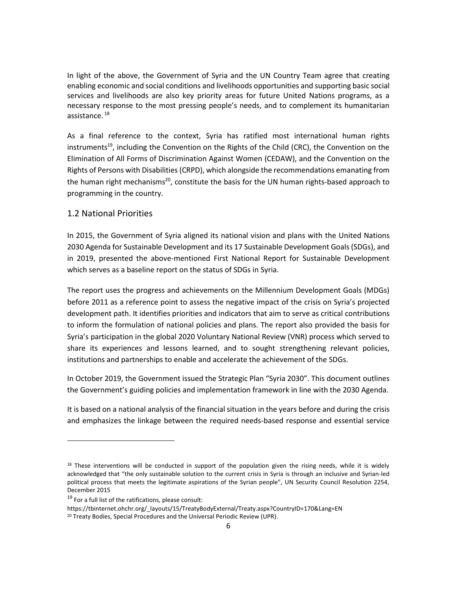In light of the above, the Government of Syria and the UN Country Team agree that creating enabling economic and social conditions and livelihoods opportunities and supporting basic social services and livelihoods are also key priority areas for future United Nations programs, as a necessary response to the most pressing people's needs, and to complement its humanitarian assistance. 18

As a final reference to the context, Syria has ratified most international human rights instruments<sup>19</sup>, including the Convention on the Rights of the Child (CRC), the Convention on the Elimination of All Forms of Discrimination Against Women (CEDAW), and the Convention on the Rights of Persons with Disabilities (CRPD), which alongside the recommendations emanating from the human right mechanisms<sup>20</sup>, constitute the basis for the UN human rights-based approach to programming in the country.

#### <span id="page-5-0"></span>1.2 National Priorities

In 2015, the Government of Syria aligned its national vision and plans with the United Nations 2030 Agenda for Sustainable Development and its 17 Sustainable Development Goals (SDGs), and in 2019, presented the above-mentioned First National Report for Sustainable Development which serves as a baseline report on the status of SDGs in Syria.

The report uses the progress and achievements on the Millennium Development Goals (MDGs) before 2011 as a reference point to assess the negative impact of the crisis on Syria's projected development path. It identifies priorities and indicators that aim to serve as critical contributions to inform the formulation of national policies and plans. The report also provided the basis for Syria's participation in the global 2020 Voluntary National Review (VNR) process which served to share its experiences and lessons learned, and to sought strengthening relevant policies, institutions and partnerships to enable and accelerate the achievement of the SDGs.

In October 2019, the Government issued the Strategic Plan "Syria 2030". This document outlines the Government's guiding policies and implementation framework in line with the 2030 Agenda.

It is based on a national analysis of the financial situation in the years before and during the crisis and emphasizes the linkage between the required needs-based response and essential service

https://tbinternet.ohchr.org/\_layouts/15/TreatyBodyExternal/Treaty.aspx?CountryID=170&Lang=EN

 $18$  These interventions will be conducted in support of the population given the rising needs, while it is widely acknowledged that "the only sustainable solution to the current crisis in Syria is through an inclusive and Syrian-led political process that meets the legitimate aspirations of the Syrian people", UN Security Council Resolution 2254, December 2015

<sup>&</sup>lt;sup>19</sup> For a full list of the ratifications, please consult:

<sup>&</sup>lt;sup>20</sup> Treaty Bodies, Special Procedures and the Universal Periodic Review (UPR).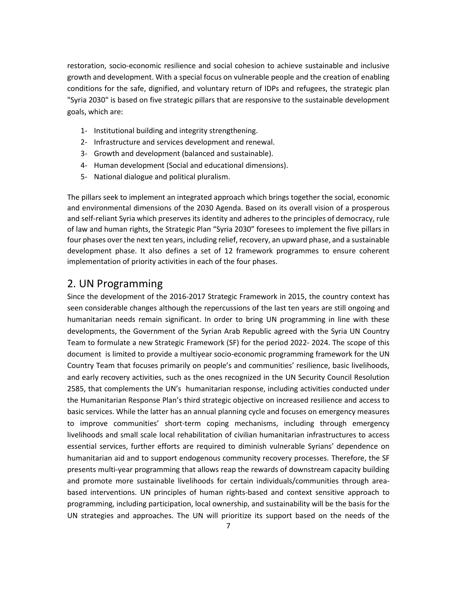restoration, socio-economic resilience and social cohesion to achieve sustainable and inclusive growth and development. With a special focus on vulnerable people and the creation of enabling conditions for the safe, dignified, and voluntary return of IDPs and refugees, the strategic plan "Syria 2030" is based on five strategic pillars that are responsive to the sustainable development goals, which are:

- 1- Institutional building and integrity strengthening.
- 2- Infrastructure and services development and renewal.
- 3- Growth and development (balanced and sustainable).
- 4- Human development (Social and educational dimensions).
- 5- National dialogue and political pluralism.

The pillars seek to implement an integrated approach which brings together the social, economic and environmental dimensions of the 2030 Agenda. Based on its overall vision of a prosperous and self-reliant Syria which preserves its identity and adheres to the principles of democracy, rule of law and human rights, the Strategic Plan "Syria 2030" foresees to implement the five pillars in four phases over the next ten years, including relief, recovery, an upward phase, and a sustainable development phase. It also defines a set of 12 framework programmes to ensure coherent implementation of priority activities in each of the four phases.

## 2. UN Programming

Since the development of the 2016-2017 Strategic Framework in 2015, the country context has seen considerable changes although the repercussions of the last ten years are still ongoing and humanitarian needs remain significant. In order to bring UN programming in line with these developments, the Government of the Syrian Arab Republic agreed with the Syria UN Country Team to formulate a new Strategic Framework (SF) for the period 2022- 2024. The scope of this document is limited to provide a multiyear socio-economic programming framework for the UN Country Team that focuses primarily on people's and communities' resilience, basic livelihoods, and early recovery activities, such as the ones recognized in the UN Security Council Resolution 2585, that complements the UN's humanitarian response, including activities conducted under the Humanitarian Response Plan's third strategic objective on increased resilience and access to basic services. While the latter has an annual planning cycle and focuses on emergency measures to improve communities' short-term coping mechanisms, including through emergency livelihoods and small scale local rehabilitation of civilian humanitarian infrastructures to access essential services, further efforts are required to diminish vulnerable Syrians' dependence on humanitarian aid and to support endogenous community recovery processes. Therefore, the SF presents multi-year programming that allows reap the rewards of downstream capacity building and promote more sustainable livelihoods for certain individuals/communities through areabased interventions. UN principles of human rights-based and context sensitive approach to programming, including participation, local ownership, and sustainability will be the basis for the UN strategies and approaches. The UN will prioritize its support based on the needs of the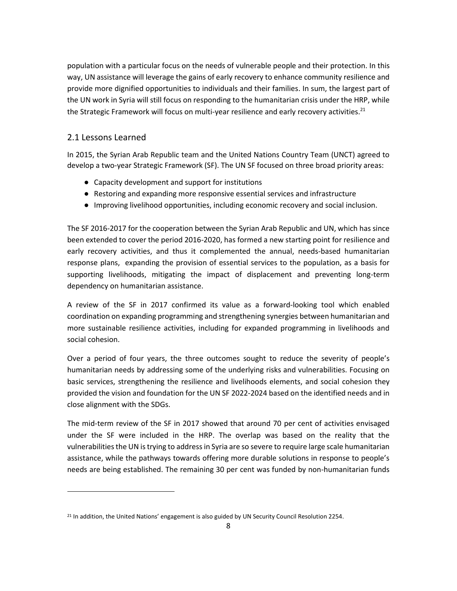population with a particular focus on the needs of vulnerable people and their protection. In this way, UN assistance will leverage the gains of early recovery to enhance community resilience and provide more dignified opportunities to individuals and their families. In sum, the largest part of the UN work in Syria will still focus on responding to the humanitarian crisis under the HRP, while the Strategic Framework will focus on multi-year resilience and early recovery activities.<sup>21</sup>

## <span id="page-7-0"></span>2.1 Lessons Learned

In 2015, the Syrian Arab Republic team and the United Nations Country Team (UNCT) agreed to develop a two-year Strategic Framework (SF). The UN SF focused on three broad priority areas:

- Capacity development and support for institutions
- Restoring and expanding more responsive essential services and infrastructure
- Improving livelihood opportunities, including economic recovery and social inclusion.

The SF 2016-2017 for the cooperation between the Syrian Arab Republic and UN, which has since been extended to cover the period 2016-2020, has formed a new starting point for resilience and early recovery activities, and thus it complemented the annual, needs-based humanitarian response plans, expanding the provision of essential services to the population, as a basis for supporting livelihoods, mitigating the impact of displacement and preventing long-term dependency on humanitarian assistance.

A review of the SF in 2017 confirmed its value as a forward-looking tool which enabled coordination on expanding programming and strengthening synergies between humanitarian and more sustainable resilience activities, including for expanded programming in livelihoods and social cohesion.

Over a period of four years, the three outcomes sought to reduce the severity of people's humanitarian needs by addressing some of the underlying risks and vulnerabilities. Focusing on basic services, strengthening the resilience and livelihoods elements, and social cohesion they provided the vision and foundation for the UN SF 2022-2024 based on the identified needs and in close alignment with the SDGs.

The mid-term review of the SF in 2017 showed that around 70 per cent of activities envisaged under the SF were included in the HRP. The overlap was based on the reality that the vulnerabilities the UN is trying to address in Syria are so severe to require large scale humanitarian assistance, while the pathways towards offering more durable solutions in response to people's needs are being established. The remaining 30 per cent was funded by non-humanitarian funds

<sup>&</sup>lt;sup>21</sup> In addition, the United Nations' engagement is also guided by UN Security Council Resolution 2254.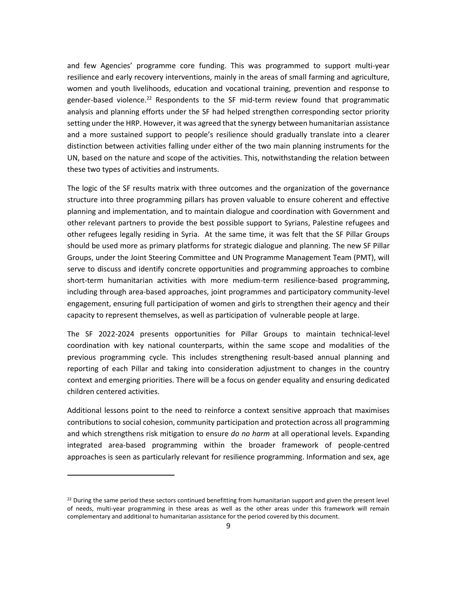and few Agencies' programme core funding. This was programmed to support multi-year resilience and early recovery interventions, mainly in the areas of small farming and agriculture, women and youth livelihoods, education and vocational training, prevention and response to gender-based violence.<sup>22</sup> Respondents to the SF mid-term review found that programmatic analysis and planning efforts under the SF had helped strengthen corresponding sector priority setting under the HRP. However, it was agreed that the synergy between humanitarian assistance and a more sustained support to people's resilience should gradually translate into a clearer distinction between activities falling under either of the two main planning instruments for the UN, based on the nature and scope of the activities. This, notwithstanding the relation between these two types of activities and instruments.

The logic of the SF results matrix with three outcomes and the organization of the governance structure into three programming pillars has proven valuable to ensure coherent and effective planning and implementation, and to maintain dialogue and coordination with Government and other relevant partners to provide the best possible support to Syrians, Palestine refugees and other refugees legally residing in Syria. At the same time, it was felt that the SF Pillar Groups should be used more as primary platforms for strategic dialogue and planning. The new SF Pillar Groups, under the Joint Steering Committee and UN Programme Management Team (PMT), will serve to discuss and identify concrete opportunities and programming approaches to combine short-term humanitarian activities with more medium-term resilience-based programming, including through area-based approaches, joint programmes and participatory community-level engagement, ensuring full participation of women and girls to strengthen their agency and their capacity to represent themselves, as well as participation of vulnerable people at large.

The SF 2022-2024 presents opportunities for Pillar Groups to maintain technical-level coordination with key national counterparts, within the same scope and modalities of the previous programming cycle. This includes strengthening result-based annual planning and reporting of each Pillar and taking into consideration adjustment to changes in the country context and emerging priorities. There will be a focus on gender equality and ensuring dedicated children centered activities.

Additional lessons point to the need to reinforce a context sensitive approach that maximises contributions to social cohesion, community participation and protection across all programming and which strengthens risk mitigation to ensure *do no harm* at all operational levels. Expanding integrated area-based programming within the broader framework of people-centred approaches is seen as particularly relevant for resilience programming. Information and sex, age

<sup>&</sup>lt;sup>22</sup> During the same period these sectors continued benefitting from humanitarian support and given the present level of needs, multi-year programming in these areas as well as the other areas under this framework will remain complementary and additional to humanitarian assistance for the period covered by this document.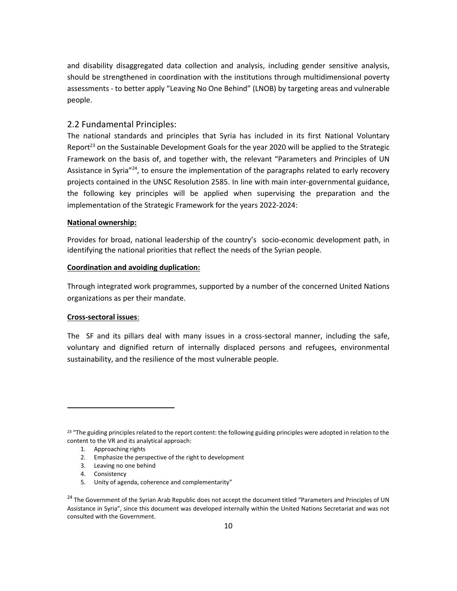and disability disaggregated data collection and analysis, including gender sensitive analysis, should be strengthened in coordination with the institutions through multidimensional poverty assessments - to better apply "Leaving No One Behind" (LNOB) by targeting areas and vulnerable people.

#### <span id="page-9-0"></span>2.2 Fundamental Principles:

The national standards and principles that Syria has included in its first National Voluntary Report<sup>23</sup> on the Sustainable Development Goals for the year 2020 will be applied to the Strategic Framework on the basis of, and together with, the relevant "Parameters and Principles of UN Assistance in Syria<sup>"24</sup>, to ensure the implementation of the paragraphs related to early recovery projects contained in the UNSC Resolution 2585. In line with main inter-governmental guidance, the following key principles will be applied when supervising the preparation and the implementation of the Strategic Framework for the years 2022-2024:

#### **National ownership:**

Provides for broad, national leadership of the country's socio-economic development path, in identifying the national priorities that reflect the needs of the Syrian people.

#### **Coordination and avoiding duplication:**

Through integrated work programmes, supported by a number of the concerned United Nations organizations as per their mandate.

#### **Cross-sectoral issues**:

The SF and its pillars deal with many issues in a cross-sectoral manner, including the safe, voluntary and dignified return of internally displaced persons and refugees, environmental sustainability, and the resilience of the most vulnerable people.

- 2. Emphasize the perspective of the right to development
- 3. Leaving no one behind
- 4. Consistency
- 5. Unity of agenda, coherence and complementarity"

 $23$  "The guiding principles related to the report content: the following guiding principles were adopted in relation to the content to the VR and its analytical approach:

<sup>1.</sup> Approaching rights

<sup>&</sup>lt;sup>24</sup> The Government of the Syrian Arab Republic does not accept the document titled "Parameters and Principles of UN Assistance in Syria", since this document was developed internally within the United Nations Secretariat and was not consulted with the Government.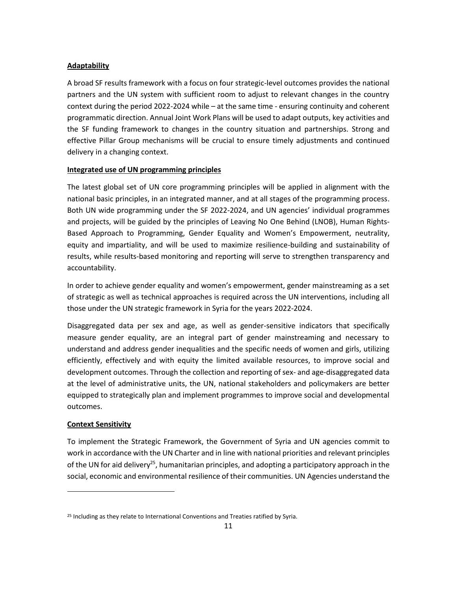#### **Adaptability**

A broad SF results framework with a focus on four strategic-level outcomes provides the national partners and the UN system with sufficient room to adjust to relevant changes in the country context during the period 2022-2024 while – at the same time - ensuring continuity and coherent programmatic direction. Annual Joint Work Plans will be used to adapt outputs, key activities and the SF funding framework to changes in the country situation and partnerships. Strong and effective Pillar Group mechanisms will be crucial to ensure timely adjustments and continued delivery in a changing context.

#### **Integrated use of UN programming principles**

The latest global set of UN core programming principles will be applied in alignment with the national basic principles, in an integrated manner, and at all stages of the programming process. Both UN wide programming under the SF 2022-2024, and UN agencies' individual programmes and projects, will be guided by the principles of Leaving No One Behind (LNOB), Human Rights-Based Approach to Programming, Gender Equality and Women's Empowerment, neutrality, equity and impartiality, and will be used to maximize resilience-building and sustainability of results, while results-based monitoring and reporting will serve to strengthen transparency and accountability.

In order to achieve gender equality and women's empowerment, gender mainstreaming as a set of strategic as well as technical approaches is required across the UN interventions, including all those under the UN strategic framework in Syria for the years 2022-2024.

Disaggregated data per sex and age, as well as gender-sensitive indicators that specifically measure gender equality, are an integral part of gender mainstreaming and necessary to understand and address gender inequalities and the specific needs of women and girls, utilizing efficiently, effectively and with equity the limited available resources, to improve social and development outcomes. Through the collection and reporting of sex- and age-disaggregated data at the level of administrative units, the UN, national stakeholders and policymakers are better equipped to strategically plan and implement programmes to improve social and developmental outcomes.

#### **Context Sensitivity**

To implement the Strategic Framework, the Government of Syria and UN agencies commit to work in accordance with the UN Charter and in line with national priorities and relevant principles of the UN for aid delivery<sup>25</sup>, humanitarian principles, and adopting a participatory approach in the social, economic and environmental resilience of their communities. UN Agencies understand the

<sup>&</sup>lt;sup>25</sup> Including as they relate to International Conventions and Treaties ratified by Syria.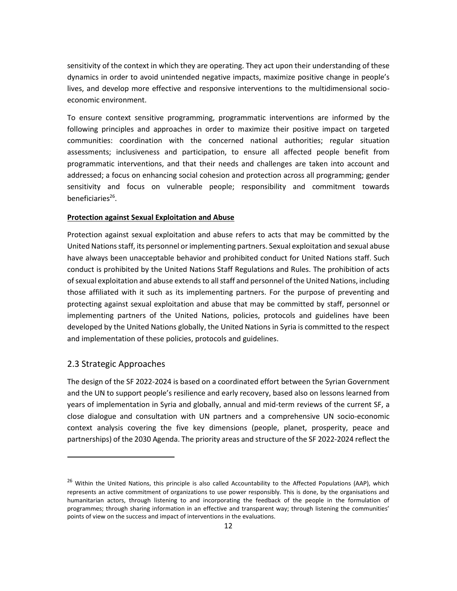sensitivity of the context in which they are operating. They act upon their understanding of these dynamics in order to avoid unintended negative impacts, maximize positive change in people's lives, and develop more effective and responsive interventions to the multidimensional socioeconomic environment.

To ensure context sensitive programming, programmatic interventions are informed by the following principles and approaches in order to maximize their positive impact on targeted communities: coordination with the concerned national authorities; regular situation assessments; inclusiveness and participation, to ensure all affected people benefit from programmatic interventions, and that their needs and challenges are taken into account and addressed; a focus on enhancing social cohesion and protection across all programming; gender sensitivity and focus on vulnerable people; responsibility and commitment towards beneficiaries<sup>26</sup>.

#### **Protection against Sexual Exploitation and Abuse**

Protection against sexual exploitation and abuse refers to acts that may be committed by the United Nations staff, its personnel or implementing partners. Sexual exploitation and sexual abuse have always been unacceptable behavior and prohibited conduct for United Nations staff. Such conduct is prohibited by the United Nations Staff Regulations and Rules. The prohibition of acts of sexual exploitation and abuse extends to all staff and personnel of the United Nations, including those affiliated with it such as its implementing partners. For the purpose of preventing and protecting against sexual exploitation and abuse that may be committed by staff, personnel or implementing partners of the United Nations, policies, protocols and guidelines have been developed by the United Nations globally, the United Nations in Syria is committed to the respect and implementation of these policies, protocols and guidelines.

#### <span id="page-11-0"></span>2.3 Strategic Approaches

The design of the SF 2022-2024 is based on a coordinated effort between the Syrian Government and the UN to support people's resilience and early recovery, based also on lessons learned from years of implementation in Syria and globally, annual and mid-term reviews of the current SF, a close dialogue and consultation with UN partners and a comprehensive UN socio-economic context analysis covering the five key dimensions (people, planet, prosperity, peace and partnerships) of the 2030 Agenda. The priority areas and structure of the SF 2022-2024 reflect the

<sup>&</sup>lt;sup>26</sup> Within the United Nations, this principle is also called Accountability to the Affected Populations (AAP), which represents an active commitment of organizations to use power responsibly. This is done, by the organisations and humanitarian actors, through listening to and incorporating the feedback of the people in the formulation of programmes; through sharing information in an effective and transparent way; through listening the communities' points of view on the success and impact of interventions in the evaluations.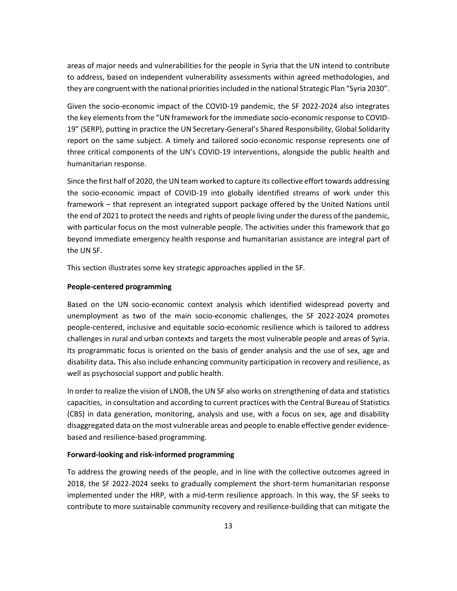areas of major needs and vulnerabilities for the people in Syria that the UN intend to contribute to address, based on independent vulnerability assessments within agreed methodologies, and they are congruent with the national priorities included in the national Strategic Plan "Syria 2030".

Given the socio-economic impact of the COVID-19 pandemic, the SF 2022-2024 also integrates the key elements from the "UN framework for the immediate socio-economic response to COVID-19" (SERP), putting in practice the UN Secretary-General's Shared Responsibility, Global Solidarity report on the same subject. A timely and tailored socio-economic response represents one of three critical components of the UN's COVID-19 interventions, alongside the public health and humanitarian response.

Since the first half of 2020, the UN team worked to capture its collective effort towards addressing the socio-economic impact of COVID-19 into globally identified streams of work under this framework – that represent an integrated support package offered by the United Nations until the end of 2021 to protect the needs and rights of people living under the duress of the pandemic, with particular focus on the most vulnerable people. The activities under this framework that go beyond immediate emergency health response and humanitarian assistance are integral part of the UN SF.

This section illustrates some key strategic approaches applied in the SF.

#### **People-centered programming**

Based on the UN socio-economic context analysis which identified widespread poverty and unemployment as two of the main socio-economic challenges, the SF 2022-2024 promotes people-centered, inclusive and equitable socio-economic resilience which is tailored to address challenges in rural and urban contexts and targets the most vulnerable people and areas of Syria. Its programmatic focus is oriented on the basis of gender analysis and the use of sex, age and disability data**.** This also include enhancing community participation in recovery and resilience, as well as psychosocial support and public health.

In order to realize the vision of LNOB, the UN SF also works on strengthening of data and statistics capacities, in consultation and according to current practices with the Central Bureau of Statistics (CBS) in data generation, monitoring, analysis and use, with a focus on sex, age and disability disaggregated data on the most vulnerable areas and people to enable effective gender evidencebased and resilience-based programming.

#### **Forward-looking and risk-informed programming**

To address the growing needs of the people, and in line with the collective outcomes agreed in 2018, the SF 2022-2024 seeks to gradually complement the short-term humanitarian response implemented under the HRP, with a mid-term resilience approach. In this way, the SF seeks to contribute to more sustainable community recovery and resilience-building that can mitigate the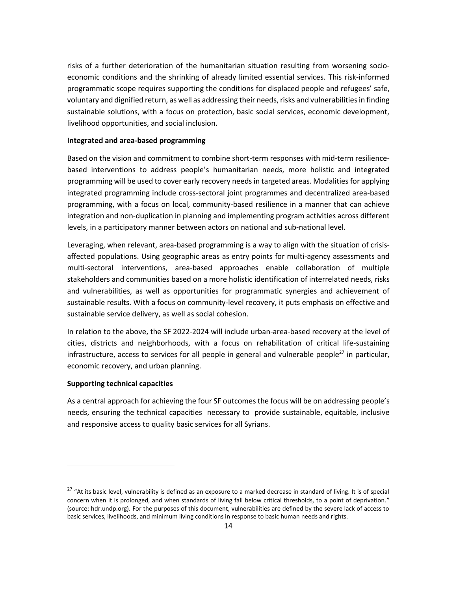risks of a further deterioration of the humanitarian situation resulting from worsening socioeconomic conditions and the shrinking of already limited essential services. This risk-informed programmatic scope requires supporting the conditions for displaced people and refugees' safe, voluntary and dignified return, as well as addressing their needs, risks and vulnerabilities in finding sustainable solutions, with a focus on protection, basic social services, economic development, livelihood opportunities, and social inclusion.

#### **Integrated and area-based programming**

Based on the vision and commitment to combine short-term responses with mid-term resiliencebased interventions to address people's humanitarian needs, more holistic and integrated programming will be used to cover early recovery needs in targeted areas. Modalities for applying integrated programming include cross-sectoral joint programmes and decentralized area-based programming, with a focus on local, community-based resilience in a manner that can achieve integration and non-duplication in planning and implementing program activities across different levels, in a participatory manner between actors on national and sub-national level.

Leveraging, when relevant, area-based programming is a way to align with the situation of crisisaffected populations. Using geographic areas as entry points for multi-agency assessments and multi-sectoral interventions, area-based approaches enable collaboration of multiple stakeholders and communities based on a more holistic identification of interrelated needs, risks and vulnerabilities, as well as opportunities for programmatic synergies and achievement of sustainable results. With a focus on community-level recovery, it puts emphasis on effective and sustainable service delivery, as well as social cohesion.

In relation to the above, the SF 2022-2024 will include urban-area-based recovery at the level of cities, districts and neighborhoods, with a focus on rehabilitation of critical life-sustaining infrastructure, access to services for all people in general and vulnerable people<sup>27</sup> in particular, economic recovery, and urban planning.

#### **Supporting technical capacities**

As a central approach for achieving the four SF outcomes the focus will be on addressing people's needs, ensuring the technical capacities necessary to provide sustainable, equitable, inclusive and responsive access to quality basic services for all Syrians.

<sup>&</sup>lt;sup>27</sup> "At its basic level, vulnerability is defined as an exposure to a marked decrease in standard of living. It is of special concern when it is prolonged, and when standards of living fall below critical thresholds, to a point of deprivation." (source: hdr.undp.org). For the purposes of this document, vulnerabilities are defined by the severe lack of access to basic services, livelihoods, and minimum living conditions in response to basic human needs and rights.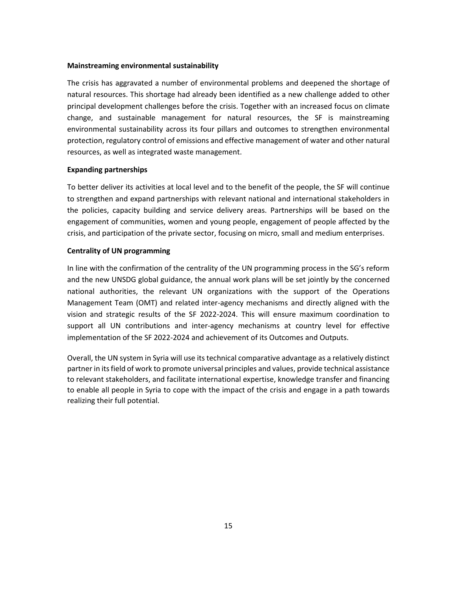#### **Mainstreaming environmental sustainability**

The crisis has aggravated a number of environmental problems and deepened the shortage of natural resources. This shortage had already been identified as a new challenge added to other principal development challenges before the crisis. Together with an increased focus on climate change, and sustainable management for natural resources, the SF is mainstreaming environmental sustainability across its four pillars and outcomes to strengthen environmental protection, regulatory control of emissions and effective management of water and other natural resources, as well as integrated waste management.

#### **Expanding partnerships**

To better deliver its activities at local level and to the benefit of the people, the SF will continue to strengthen and expand partnerships with relevant national and international stakeholders in the policies, capacity building and service delivery areas. Partnerships will be based on the engagement of communities, women and young people, engagement of people affected by the crisis, and participation of the private sector, focusing on micro, small and medium enterprises.

#### **Centrality of UN programming**

In line with the confirmation of the centrality of the UN programming process in the SG's reform and the new UNSDG global guidance, the annual work plans will be set jointly by the concerned national authorities, the relevant UN organizations with the support of the Operations Management Team (OMT) and related inter-agency mechanisms and directly aligned with the vision and strategic results of the SF 2022-2024. This will ensure maximum coordination to support all UN contributions and inter-agency mechanisms at country level for effective implementation of the SF 2022-2024 and achievement of its Outcomes and Outputs.

Overall, the UN system in Syria will use its technical comparative advantage as a relatively distinct partner in itsfield of work to promote universal principles and values, provide technical assistance to relevant stakeholders, and facilitate international expertise, knowledge transfer and financing to enable all people in Syria to cope with the impact of the crisis and engage in a path towards realizing their full potential.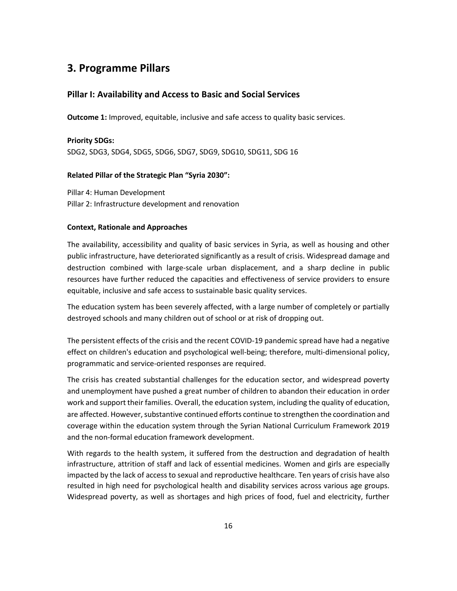## **3. Programme Pillars**

#### **Pillar I: Availability and Access to Basic and Social Services**

**Outcome 1:** Improved, equitable, inclusive and safe access to quality basic services.

#### **Priority SDGs:**

SDG2, SDG3, SDG4, SDG5, SDG6, SDG7, SDG9, SDG10, SDG11, SDG 16

#### **Related Pillar of the Strategic Plan "Syria 2030":**

Pillar 4: Human Development Pillar 2: Infrastructure development and renovation

#### **Context, Rationale and Approaches**

The availability, accessibility and quality of basic services in Syria, as well as housing and other public infrastructure, have deteriorated significantly as a result of crisis. Widespread damage and destruction combined with large-scale urban displacement, and a sharp decline in public resources have further reduced the capacities and effectiveness of service providers to ensure equitable, inclusive and safe access to sustainable basic quality services.

The education system has been severely affected, with a large number of completely or partially destroyed schools and many children out of school or at risk of dropping out.

The persistent effects of the crisis and the recent COVID-19 pandemic spread have had a negative effect on children's education and psychological well-being; therefore, multi-dimensional policy, programmatic and service-oriented responses are required.

The crisis has created substantial challenges for the education sector, and widespread poverty and unemployment have pushed a great number of children to abandon their education in order work and support their families. Overall, the education system, including the quality of education, are affected. However, substantive continued efforts continue to strengthen the coordination and coverage within the education system through the Syrian National Curriculum Framework 2019 and the non-formal education framework development.

With regards to the health system, it suffered from the destruction and degradation of health infrastructure, attrition of staff and lack of essential medicines. Women and girls are especially impacted by the lack of access to sexual and reproductive healthcare. Ten years of crisis have also resulted in high need for psychological health and disability services across various age groups. Widespread poverty, as well as shortages and high prices of food, fuel and electricity, further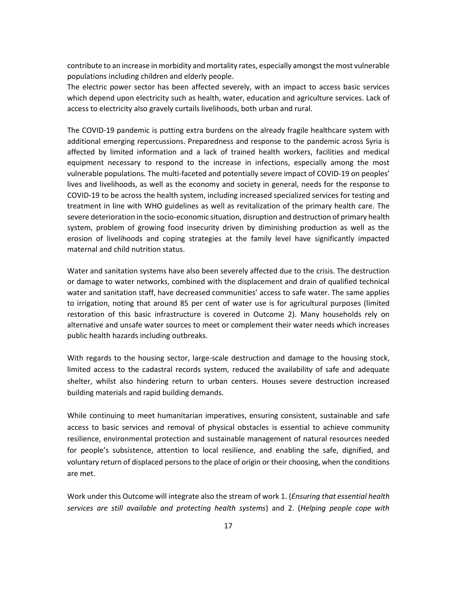contribute to an increase in morbidity and mortality rates, especially amongst the most vulnerable populations including children and elderly people.

The electric power sector has been affected severely, with an impact to access basic services which depend upon electricity such as health, water, education and agriculture services. Lack of access to electricity also gravely curtails livelihoods, both urban and rural.

The COVID-19 pandemic is putting extra burdens on the already fragile healthcare system with additional emerging repercussions. Preparedness and response to the pandemic across Syria is affected by limited information and a lack of trained health workers, facilities and medical equipment necessary to respond to the increase in infections, especially among the most vulnerable populations. The multi-faceted and potentially severe impact of COVID-19 on peoples' lives and livelihoods, as well as the economy and society in general, needs for the response to COVID-19 to be across the health system, including increased specialized services for testing and treatment in line with WHO guidelines as well as revitalization of the primary health care. The severe deterioration in the socio-economic situation, disruption and destruction of primary health system, problem of growing food insecurity driven by diminishing production as well as the erosion of livelihoods and coping strategies at the family level have significantly impacted maternal and child nutrition status.

Water and sanitation systems have also been severely affected due to the crisis. The destruction or damage to water networks, combined with the displacement and drain of qualified technical water and sanitation staff, have decreased communities' access to safe water. The same applies to irrigation, noting that around 85 per cent of water use is for agricultural purposes (limited restoration of this basic infrastructure is covered in Outcome 2). Many households rely on alternative and unsafe water sources to meet or complement their water needs which increases public health hazards including outbreaks.

With regards to the housing sector, large-scale destruction and damage to the housing stock, limited access to the cadastral records system, reduced the availability of safe and adequate shelter, whilst also hindering return to urban centers. Houses severe destruction increased building materials and rapid building demands.

While continuing to meet humanitarian imperatives, ensuring consistent, sustainable and safe access to basic services and removal of physical obstacles is essential to achieve community resilience, environmental protection and sustainable management of natural resources needed for people's subsistence, attention to local resilience, and enabling the safe, dignified, and voluntary return of displaced persons to the place of origin or their choosing, when the conditions are met.

Work under this Outcome will integrate also the stream of work 1. (*Ensuring that essential health services are still available and protecting health systems*) and 2. (*Helping people cope with*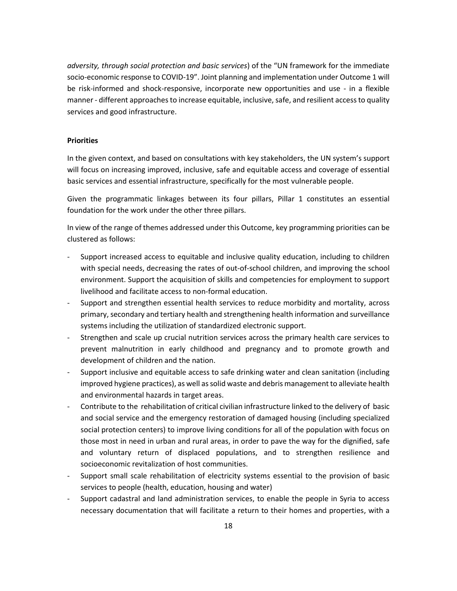*adversity, through social protection and basic services*) of the "UN framework for the immediate socio-economic response to COVID-19". Joint planning and implementation under Outcome 1 will be risk-informed and shock-responsive, incorporate new opportunities and use - in a flexible manner - different approaches to increase equitable, inclusive, safe, and resilient access to quality services and good infrastructure.

#### **Priorities**

In the given context, and based on consultations with key stakeholders, the UN system's support will focus on increasing improved, inclusive, safe and equitable access and coverage of essential basic services and essential infrastructure, specifically for the most vulnerable people.

Given the programmatic linkages between its four pillars, Pillar 1 constitutes an essential foundation for the work under the other three pillars.

In view of the range of themes addressed under this Outcome, key programming priorities can be clustered as follows:

- Support increased access to equitable and inclusive quality education, including to children with special needs, decreasing the rates of out-of-school children, and improving the school environment. Support the acquisition of skills and competencies for employment to support livelihood and facilitate access to non-formal education.
- Support and strengthen essential health services to reduce morbidity and mortality, across primary,secondary and tertiary health and strengthening health information and surveillance systems including the utilization of standardized electronic support.
- Strengthen and scale up crucial nutrition services across the primary health care services to prevent malnutrition in early childhood and pregnancy and to promote growth and development of children and the nation.
- Support inclusive and equitable access to safe drinking water and clean sanitation (including improved hygiene practices), as well as solid waste and debris management to alleviate health and environmental hazards in target areas.
- Contribute to the rehabilitation of critical civilian infrastructure linked to the delivery of basic and social service and the emergency restoration of damaged housing (including specialized social protection centers) to improve living conditions for all of the population with focus on those most in need in urban and rural areas, in order to pave the way for the dignified, safe and voluntary return of displaced populations, and to strengthen resilience and socioeconomic revitalization of host communities.
- Support small scale rehabilitation of electricity systems essential to the provision of basic services to people (health, education, housing and water)
- Support cadastral and land administration services, to enable the people in Syria to access necessary documentation that will facilitate a return to their homes and properties, with a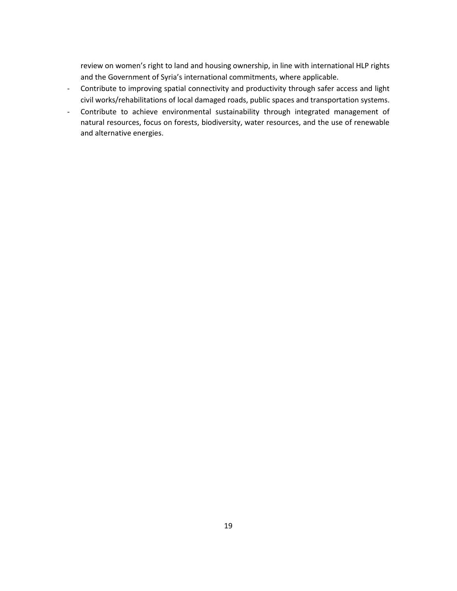review on women's right to land and housing ownership, in line with international HLP rights and the Government of Syria's international commitments, where applicable.

- Contribute to improving spatial connectivity and productivity through safer access and light civil works/rehabilitations of local damaged roads, public spaces and transportation systems.
- Contribute to achieve environmental sustainability through integrated management of natural resources, focus on forests, biodiversity, water resources, and the use of renewable and alternative energies.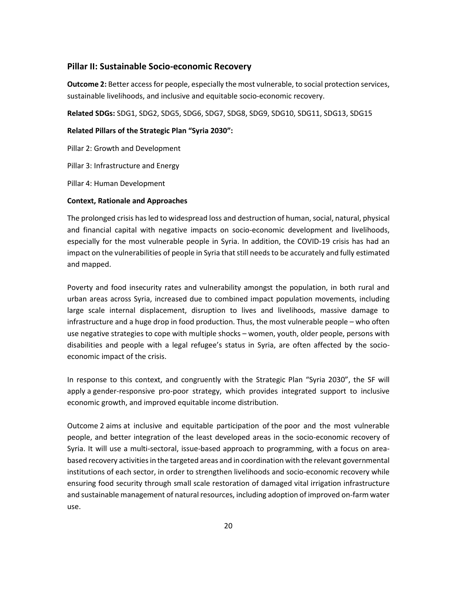#### **Pillar II: Sustainable Socio-economic Recovery**

**Outcome 2:** Better access for people, especially the most vulnerable, to social protection services, sustainable livelihoods, and inclusive and equitable socio-economic recovery.

**Related SDGs:** SDG1, SDG2, SDG5, SDG6, SDG7, SDG8, SDG9, SDG10, SDG11, SDG13, SDG15

#### **Related Pillars of the Strategic Plan "Syria 2030":**

Pillar 2: Growth and Development

Pillar 3: Infrastructure and Energy

Pillar 4: Human Development

#### **Context, Rationale and Approaches**

The prolonged crisis has led to widespread loss and destruction of human, social, natural, physical and financial capital with negative impacts on socio-economic development and livelihoods, especially for the most vulnerable people in Syria. In addition, the COVID-19 crisis has had an impact on the vulnerabilities of people in Syria that still needs to be accurately and fully estimated and mapped.

Poverty and food insecurity rates and vulnerability amongst the population, in both rural and urban areas across Syria, increased due to combined impact population movements, including large scale internal displacement, disruption to lives and livelihoods, massive damage to infrastructure and a huge drop in food production. Thus, the most vulnerable people – who often use negative strategies to cope with multiple shocks – women, youth, older people, persons with disabilities and people with a legal refugee's status in Syria, are often affected by the socioeconomic impact of the crisis.

In response to this context, and congruently with the Strategic Plan "Syria 2030", the SF will apply a gender-responsive pro-poor strategy, which provides integrated support to inclusive economic growth, and improved equitable income distribution.

Outcome 2 aims at inclusive and equitable participation of the poor and the most vulnerable people, and better integration of the least developed areas in the socio-economic recovery of Syria. It will use a multi-sectoral, issue-based approach to programming, with a focus on areabased recovery activities in the targeted areas and in coordination with the relevant governmental institutions of each sector, in order to strengthen livelihoods and socio-economic recovery while ensuring food security through small scale restoration of damaged vital irrigation infrastructure and sustainable management of natural resources, including adoption of improved on-farm water use.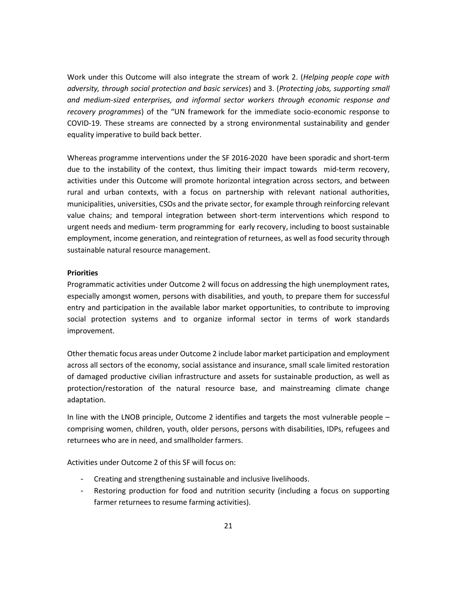Work under this Outcome will also integrate the stream of work 2. (*Helping people cope with adversity, through social protection and basic services*) and 3. (*Protecting jobs, supporting small and medium-sized enterprises, and informal sector workers through economic response and recovery programmes*) of the "UN framework for the immediate socio-economic response to COVID-19. These streams are connected by a strong environmental sustainability and gender equality imperative to build back better.

Whereas programme interventions under the SF 2016-2020 have been sporadic and short-term due to the instability of the context, thus limiting their impact towards mid-term recovery, activities under this Outcome will promote horizontal integration across sectors, and between rural and urban contexts, with a focus on partnership with relevant national authorities, municipalities, universities, CSOs and the private sector, for example through reinforcing relevant value chains; and temporal integration between short-term interventions which respond to urgent needs and medium- term programming for early recovery, including to boost sustainable employment, income generation, and reintegration of returnees, as well as food security through sustainable natural resource management.

#### **Priorities**

Programmatic activities under Outcome 2 will focus on addressing the high unemployment rates, especially amongst women, persons with disabilities, and youth, to prepare them for successful entry and participation in the available labor market opportunities, to contribute to improving social protection systems and to organize informal sector in terms of work standards improvement.

Other thematic focus areas under Outcome 2 include labor market participation and employment across all sectors of the economy, social assistance and insurance, small scale limited restoration of damaged productive civilian infrastructure and assets for sustainable production, as well as protection/restoration of the natural resource base, and mainstreaming climate change adaptation.

In line with the LNOB principle, Outcome 2 identifies and targets the most vulnerable people – comprising women, children, youth, older persons, persons with disabilities, IDPs, refugees and returnees who are in need, and smallholder farmers.

Activities under Outcome 2 of this SF will focus on:

- Creating and strengthening sustainable and inclusive livelihoods.
- Restoring production for food and nutrition security (including a focus on supporting farmer returnees to resume farming activities).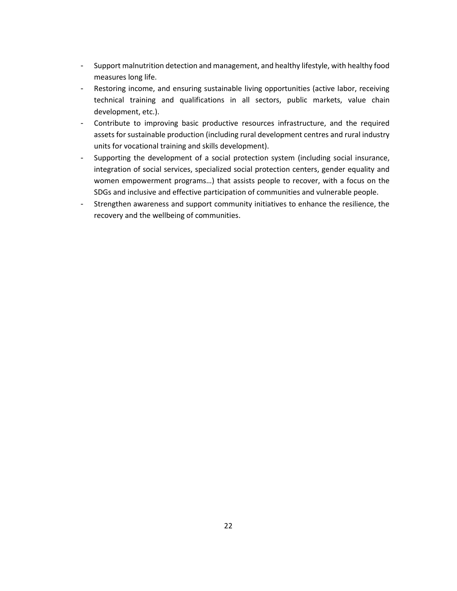- Support malnutrition detection and management, and healthy lifestyle, with healthy food measures long life.
- Restoring income, and ensuring sustainable living opportunities (active labor, receiving technical training and qualifications in all sectors, public markets, value chain development, etc.).
- Contribute to improving basic productive resources infrastructure, and the required assets for sustainable production (including rural development centres and rural industry units for vocational training and skills development).
- Supporting the development of a social protection system (including social insurance, integration of social services, specialized social protection centers, gender equality and women empowerment programs…) that assists people to recover, with a focus on the SDGs and inclusive and effective participation of communities and vulnerable people.
- Strengthen awareness and support community initiatives to enhance the resilience, the recovery and the wellbeing of communities.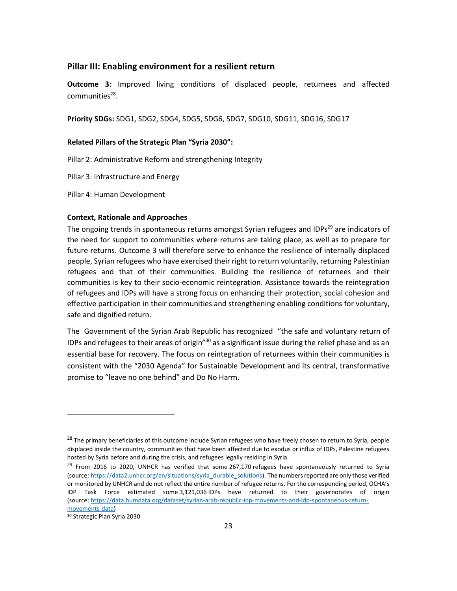#### **Pillar III: Enabling environment for a resilient return**

**Outcome 3**: Improved living conditions of displaced people, returnees and affected communities<sup>28</sup>.

**Priority SDGs:** SDG1, SDG2, SDG4, SDG5, SDG6, SDG7, SDG10, SDG11, SDG16, SDG17

#### **Related Pillars of the Strategic Plan "Syria 2030":**

Pillar 2: Administrative Reform and strengthening Integrity

Pillar 3: Infrastructure and Energy

Pillar 4: Human Development

#### **Context, Rationale and Approaches**

The ongoing trends in spontaneous returns amongst Syrian refugees and IDPs<sup>29</sup> are indicators of the need for support to communities where returns are taking place, as well as to prepare for future returns. Outcome 3 will therefore serve to enhance the resilience of internally displaced people, Syrian refugees who have exercised their right to return voluntarily, returning Palestinian refugees and that of their communities. Building the resilience of returnees and their communities is key to their socio-economic reintegration. Assistance towards the reintegration of refugees and IDPs will have a strong focus on enhancing their protection, social cohesion and effective participation in their communities and strengthening enabling conditions for voluntary, safe and dignified return.

The Government of the Syrian Arab Republic has recognized "the safe and voluntary return of IDPs and refugees to their areas of origin"<sup>30</sup> as a significant issue during the relief phase and as an essential base for recovery. The focus on reintegration of returnees within their communities is consistent with the "2030 Agenda" for Sustainable Development and its central, transformative promise to "leave no one behind" and Do No Harm.

<sup>&</sup>lt;sup>28</sup> The primary beneficiaries of this outcome include Syrian refugees who have freely chosen to return to Syria, people displaced inside the country, communities that have been affected due to exodus or influx of IDPs, Palestine refugees hosted by Syria before and during the crisis, and refugees legally residing in Syria.

 $^{29}$  From 2016 to 2020, UNHCR has verified that some 267,170 refugees have spontaneously returned to Syria (source: [https://data2.unhcr.org/en/situations/syria\\_durable\\_solutions\)](https://eur02.safelinks.protection.outlook.com/?url=https%3A%2F%2Fdata2.unhcr.org%2Fen%2Fsituations%2Fsyria_durable_solutions&data=04%7C01%7Ctennant%40unhcr.org%7Cc657b10e679e412cfc7608d87b4f3be4%7Ce5c37981666441348a0c6543d2af80be%7C0%7C0%7C637394927521881405%7CUnknown%7CTWFpbGZsb3d8eyJWIjoiMC4wLjAwMDAiLCJQIjoiV2luMzIiLCJBTiI6Ik1haWwiLCJXVCI6Mn0%3D%7C1000&sdata=Hr6%2F2pfJeT84DIRsKEbGLQybNDliv%2FH2o%2FlmyuaND2g%3D&reserved=0). The numbers reported are only those verified or monitored by UNHCR and do not reflect the entire number of refugee returns. For the corresponding period, OCHA's IDP Task Force estimated some 3,121,036 IDPs have returned to their governorates of origin (source: [https://data.humdata.org/dataset/syrian-arab-republic-idp-movements-and-idp-spontaneous-return](https://eur02.safelinks.protection.outlook.com/?url=https%3A%2F%2Fdata.humdata.org%2Fdataset%2Fsyrian-arab-republic-idp-movements-and-idp-spontaneous-return-movements-data&data=04%7C01%7Ctennant%40unhcr.org%7Cc657b10e679e412cfc7608d87b4f3be4%7Ce5c37981666441348a0c6543d2af80be%7C0%7C0%7C637394927521881405%7CUnknown%7CTWFpbGZsb3d8eyJWIjoiMC4wLjAwMDAiLCJQIjoiV2luMzIiLCJBTiI6Ik1haWwiLCJXVCI6Mn0%3D%7C1000&sdata=WENGPiUho7Dznzgh6PLhP0W7Y0IxpPeW263xKyzGwIA%3D&reserved=0)[movements-data\)](https://eur02.safelinks.protection.outlook.com/?url=https%3A%2F%2Fdata.humdata.org%2Fdataset%2Fsyrian-arab-republic-idp-movements-and-idp-spontaneous-return-movements-data&data=04%7C01%7Ctennant%40unhcr.org%7Cc657b10e679e412cfc7608d87b4f3be4%7Ce5c37981666441348a0c6543d2af80be%7C0%7C0%7C637394927521881405%7CUnknown%7CTWFpbGZsb3d8eyJWIjoiMC4wLjAwMDAiLCJQIjoiV2luMzIiLCJBTiI6Ik1haWwiLCJXVCI6Mn0%3D%7C1000&sdata=WENGPiUho7Dznzgh6PLhP0W7Y0IxpPeW263xKyzGwIA%3D&reserved=0)

<sup>30</sup> Strategic Plan Syria 2030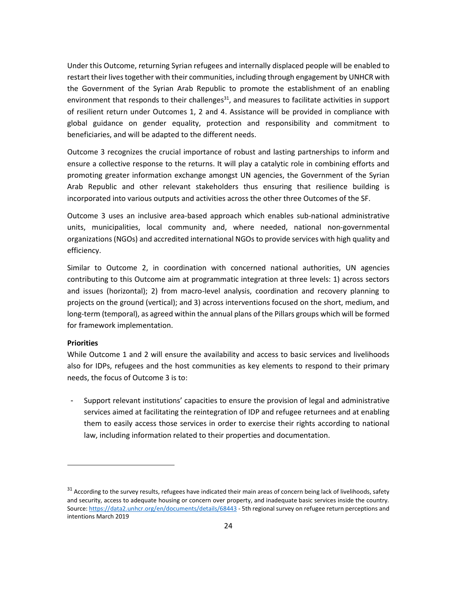Under this Outcome, returning Syrian refugees and internally displaced people will be enabled to restart their lives together with their communities, including through engagement by UNHCR with the Government of the Syrian Arab Republic to promote the establishment of an enabling environment that responds to their challenges $31$ , and measures to facilitate activities in support of resilient return under Outcomes 1, 2 and 4. Assistance will be provided in compliance with global guidance on gender equality, protection and responsibility and commitment to beneficiaries, and will be adapted to the different needs.

Outcome 3 recognizes the crucial importance of robust and lasting partnerships to inform and ensure a collective response to the returns. It will play a catalytic role in combining efforts and promoting greater information exchange amongst UN agencies, the Government of the Syrian Arab Republic and other relevant stakeholders thus ensuring that resilience building is incorporated into various outputs and activities across the other three Outcomes of the SF.

Outcome 3 uses an inclusive area-based approach which enables sub-national administrative units, municipalities, local community and, where needed, national non-governmental organizations (NGOs) and accredited international NGOs to provide services with high quality and efficiency.

Similar to Outcome 2, in coordination with concerned national authorities, UN agencies contributing to this Outcome aim at programmatic integration at three levels: 1) across sectors and issues (horizontal); 2) from macro-level analysis, coordination and recovery planning to projects on the ground (vertical); and 3) across interventions focused on the short, medium, and long-term (temporal), as agreed within the annual plans of the Pillars groups which will be formed for framework implementation.

#### **Priorities**

While Outcome 1 and 2 will ensure the availability and access to basic services and livelihoods also for IDPs, refugees and the host communities as key elements to respond to their primary needs, the focus of Outcome 3 is to:

Support relevant institutions' capacities to ensure the provision of legal and administrative services aimed at facilitating the reintegration of IDP and refugee returnees and at enabling them to easily access those services in order to exercise their rights according to national law, including information related to their properties and documentation.

 $31$  According to the survey results, refugees have indicated their main areas of concern being lack of livelihoods, safety and security, access to adequate housing or concern over property, and inadequate basic services inside the country. Source[: https://data2.unhcr.org/en/documents/details/68443](https://data2.unhcr.org/en/documents/details/68443) - 5th regional survey on refugee return perceptions and intentions March 2019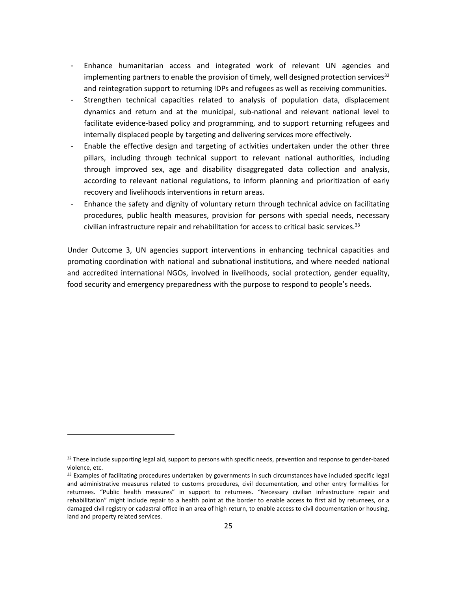- Enhance humanitarian access and integrated work of relevant UN agencies and implementing partners to enable the provision of timely, well designed protection services<sup>32</sup> and reintegration support to returning IDPs and refugees as well as receiving communities.
- Strengthen technical capacities related to analysis of population data, displacement dynamics and return and at the municipal, sub-national and relevant national level to facilitate evidence-based policy and programming, and to support returning refugees and internally displaced people by targeting and delivering services more effectively.
- Enable the effective design and targeting of activities undertaken under the other three pillars, including through technical support to relevant national authorities, including through improved sex, age and disability disaggregated data collection and analysis, according to relevant national regulations, to inform planning and prioritization of early recovery and livelihoods interventions in return areas.
- Enhance the safety and dignity of voluntary return through technical advice on facilitating procedures, public health measures, provision for persons with special needs, necessary civilian infrastructure repair and rehabilitation for access to critical basic services. 33

Under Outcome 3, UN agencies support interventions in enhancing technical capacities and promoting coordination with national and subnational institutions, and where needed national and accredited international NGOs, involved in livelihoods, social protection, gender equality, food security and emergency preparedness with the purpose to respond to people's needs.

 $32$  These include supporting legal aid, support to persons with specific needs, prevention and response to gender-based violence, etc.

<sup>33</sup> Examples of facilitating procedures undertaken by governments in such circumstances have included specific legal and administrative measures related to customs procedures, civil documentation, and other entry formalities for returnees. "Public health measures" in support to returnees. "Necessary civilian infrastructure repair and rehabilitation" might include repair to a health point at the border to enable access to first aid by returnees, or a damaged civil registry or cadastral office in an area of high return, to enable access to civil documentation or housing, land and property related services.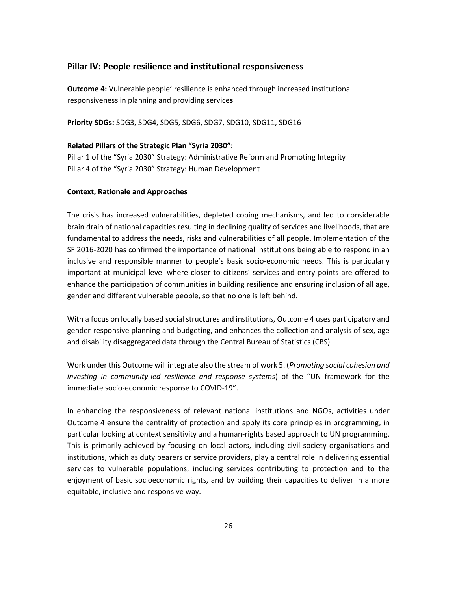#### **Pillar IV: People resilience and institutional responsiveness**

**Outcome 4:** Vulnerable people' resilience is enhanced through increased institutional responsiveness in planning and providing service**s**

**Priority SDGs:** SDG3, SDG4, SDG5, SDG6, SDG7, SDG10, SDG11, SDG16

#### **Related Pillars of the Strategic Plan "Syria 2030":**

Pillar 1 of the "Syria 2030" Strategy: Administrative Reform and Promoting Integrity Pillar 4 of the "Syria 2030" Strategy: Human Development

#### **Context, Rationale and Approaches**

The crisis has increased vulnerabilities, depleted coping mechanisms, and led to considerable brain drain of national capacities resulting in declining quality of services and livelihoods, that are fundamental to address the needs, risks and vulnerabilities of all people. Implementation of the SF 2016-2020 has confirmed the importance of national institutions being able to respond in an inclusive and responsible manner to people's basic socio-economic needs. This is particularly important at municipal level where closer to citizens' services and entry points are offered to enhance the participation of communities in building resilience and ensuring inclusion of all age, gender and different vulnerable people, so that no one is left behind.

With a focus on locally based social structures and institutions, Outcome 4 uses participatory and gender-responsive planning and budgeting, and enhances the collection and analysis of sex, age and disability disaggregated data through the Central Bureau of Statistics (CBS)

Work under this Outcome will integrate also the stream of work 5. (*Promoting social cohesion and investing in community-led resilience and response systems*) of the "UN framework for the immediate socio-economic response to COVID-19".

In enhancing the responsiveness of relevant national institutions and NGOs, activities under Outcome 4 ensure the centrality of protection and apply its core principles in programming, in particular looking at context sensitivity and a human-rights based approach to UN programming. This is primarily achieved by focusing on local actors, including civil society organisations and institutions, which as duty bearers or service providers, play a central role in delivering essential services to vulnerable populations, including services contributing to protection and to the enjoyment of basic socioeconomic rights, and by building their capacities to deliver in a more equitable, inclusive and responsive way.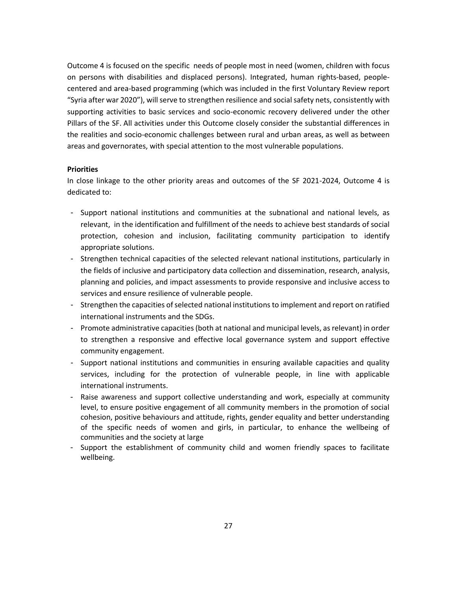Outcome 4 is focused on the specific needs of people most in need (women, children with focus on persons with disabilities and displaced persons). Integrated, human rights-based, peoplecentered and area-based programming (which was included in the first Voluntary Review report "Syria after war 2020"), will serve to strengthen resilience and social safety nets, consistently with supporting activities to basic services and socio-economic recovery delivered under the other Pillars of the SF. All activities under this Outcome closely consider the substantial differences in the realities and socio-economic challenges between rural and urban areas, as well as between areas and governorates, with special attention to the most vulnerable populations.

#### **Priorities**

In close linkage to the other priority areas and outcomes of the SF 2021-2024, Outcome 4 is dedicated to:

- Support national institutions and communities at the subnational and national levels, as relevant, in the identification and fulfillment of the needs to achieve best standards of social protection, cohesion and inclusion, facilitating community participation to identify appropriate solutions.
- Strengthen technical capacities of the selected relevant national institutions, particularly in the fields of inclusive and participatory data collection and dissemination, research, analysis, planning and policies, and impact assessments to provide responsive and inclusive access to services and ensure resilience of vulnerable people.
- Strengthen the capacities of selected national institutions to implement and report on ratified international instruments and the SDGs.
- Promote administrative capacities (both at national and municipal levels, as relevant) in order to strengthen a responsive and effective local governance system and support effective community engagement.
- Support national institutions and communities in ensuring available capacities and quality services, including for the protection of vulnerable people, in line with applicable international instruments.
- Raise awareness and support collective understanding and work, especially at community level, to ensure positive engagement of all community members in the promotion of social cohesion, positive behaviours and attitude, rights, gender equality and better understanding of the specific needs of women and girls, in particular, to enhance the wellbeing of communities and the society at large
- Support the establishment of community child and women friendly spaces to facilitate wellbeing.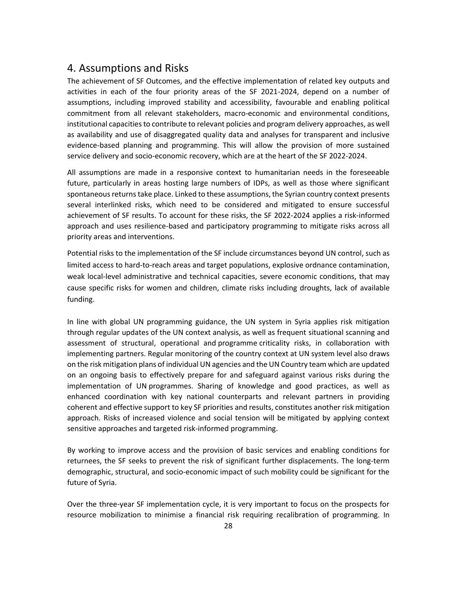## 4. Assumptions and Risks

The achievement of SF Outcomes, and the effective implementation of related key outputs and activities in each of the four priority areas of the SF 2021-2024, depend on a number of assumptions, including improved stability and accessibility, favourable and enabling political commitment from all relevant stakeholders, macro-economic and environmental conditions, institutional capacities to contribute to relevant policies and program delivery approaches, as well as availability and use of disaggregated quality data and analyses for transparent and inclusive evidence-based planning and programming. This will allow the provision of more sustained service delivery and socio-economic recovery, which are at the heart of the SF 2022-2024.

All assumptions are made in a responsive context to humanitarian needs in the foreseeable future, particularly in areas hosting large numbers of IDPs, as well as those where significant spontaneous returns take place. Linked to these assumptions, the Syrian country context presents several interlinked risks, which need to be considered and mitigated to ensure successful achievement of SF results. To account for these risks, the SF 2022-2024 applies a risk-informed approach and uses resilience-based and participatory programming to mitigate risks across all priority areas and interventions.

Potential risks to the implementation of the SF include circumstances beyond UN control, such as limited access to hard-to-reach areas and target populations, explosive ordnance contamination, weak local-level administrative and technical capacities, severe economic conditions, that may cause specific risks for women and children, climate risks including droughts, lack of available funding.

In line with global UN programming guidance, the UN system in Syria applies risk mitigation through regular updates of the UN context analysis, as well as frequent situational scanning and assessment of structural, operational and programme criticality risks, in collaboration with implementing partners. Regular monitoring of the country context at UN system level also draws on the risk mitigation plans of individual UN agencies and the UN Country team which are updated on an ongoing basis to effectively prepare for and safeguard against various risks during the implementation of UN programmes. Sharing of knowledge and good practices, as well as enhanced coordination with key national counterparts and relevant partners in providing coherent and effective support to key SF priorities and results, constitutes another risk mitigation approach. Risks of increased violence and social tension will be mitigated by applying context sensitive approaches and targeted risk-informed programming.

By working to improve access and the provision of basic services and enabling conditions for returnees, the SF seeks to prevent the risk of significant further displacements. The long-term demographic, structural, and socio-economic impact of such mobility could be significant for the future of Syria.

Over the three-year SF implementation cycle, it is very important to focus on the prospects for resource mobilization to minimise a financial risk requiring recalibration of programming. In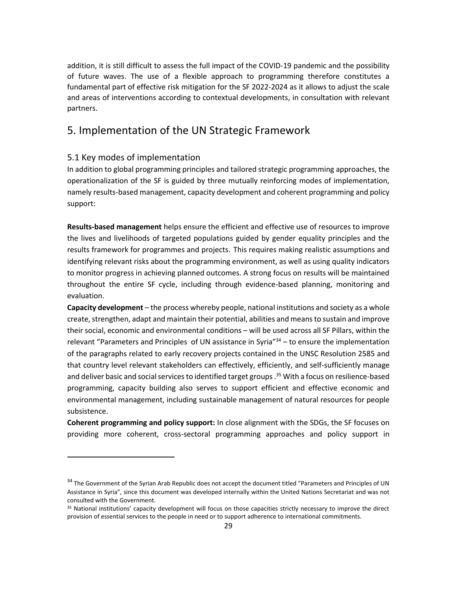addition, it is still difficult to assess the full impact of the COVID-19 pandemic and the possibility of future waves. The use of a flexible approach to programming therefore constitutes a fundamental part of effective risk mitigation for the SF 2022-2024 as it allows to adjust the scale and areas of interventions according to contextual developments, in consultation with relevant partners.

## <span id="page-28-0"></span>5. Implementation of the UN Strategic Framework

### <span id="page-28-1"></span>5.1 Key modes of implementation

In addition to global programming principles and tailored strategic programming approaches, the operationalization of the SF is guided by three mutually reinforcing modes of implementation, namely results-based management, capacity development and coherent programming and policy support:

**Results-based management** helps ensure the efficient and effective use of resources to improve the lives and livelihoods of targeted populations guided by gender equality principles and the results framework for programmes and projects. This requires making realistic assumptions and identifying relevant risks about the programming environment, as well as using quality indicators to monitor progress in achieving planned outcomes. A strong focus on results will be maintained throughout the entire SF cycle, including through evidence-based planning, monitoring and evaluation.

**Capacity development** – the process whereby people, national institutions and society as a whole create, strengthen, adapt and maintain their potential, abilities and means to sustain and improve their social, economic and environmental conditions – will be used across all SF Pillars, within the relevant "Parameters and Principles of UN assistance in Syria"<sup>34</sup> – to ensure the implementation of the paragraphs related to early recovery projects contained in the UNSC Resolution 2585 and that country level relevant stakeholders can effectively, efficiently, and self-sufficiently manage and deliver basic and social services to identified target groups. <sup>35</sup> With a focus on resilience-based programming, capacity building also serves to support efficient and effective economic and environmental management, including sustainable management of natural resources for people subsistence.

**Coherent programming and policy support:** In close alignment with the SDGs, the SF focuses on providing more coherent, cross-sectoral programming approaches and policy support in

<sup>&</sup>lt;sup>34</sup> The Government of the Syrian Arab Republic does not accept the document titled "Parameters and Principles of UN Assistance in Syria", since this document was developed internally within the United Nations Secretariat and was not consulted with the Government.

<sup>&</sup>lt;sup>35</sup> National institutions' capacity development will focus on those capacities strictly necessary to improve the direct provision of essential services to the people in need or to support adherence to international commitments.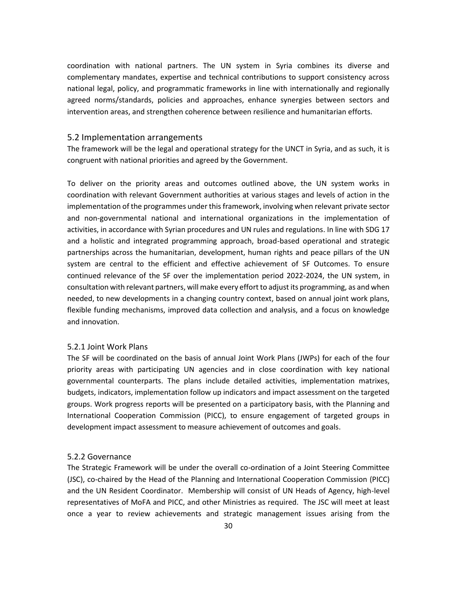coordination with national partners. The UN system in Syria combines its diverse and complementary mandates, expertise and technical contributions to support consistency across national legal, policy, and programmatic frameworks in line with internationally and regionally agreed norms/standards, policies and approaches, enhance synergies between sectors and intervention areas, and strengthen coherence between resilience and humanitarian efforts.

#### <span id="page-29-0"></span>5.2 Implementation arrangements

The framework will be the legal and operational strategy for the UNCT in Syria, and as such, it is congruent with national priorities and agreed by the Government.

To deliver on the priority areas and outcomes outlined above, the UN system works in coordination with relevant Government authorities at various stages and levels of action in the implementation of the programmes under this framework, involving when relevant private sector and non-governmental national and international organizations in the implementation of activities, in accordance with Syrian procedures and UN rules and regulations. In line with SDG 17 and a holistic and integrated programming approach, broad-based operational and strategic partnerships across the humanitarian, development, human rights and peace pillars of the UN system are central to the efficient and effective achievement of SF Outcomes. To ensure continued relevance of the SF over the implementation period 2022-2024, the UN system, in consultation with relevant partners, will make every effort to adjust its programming, as and when needed, to new developments in a changing country context, based on annual joint work plans, flexible funding mechanisms, improved data collection and analysis, and a focus on knowledge and innovation.

#### <span id="page-29-1"></span>5.2.1 Joint Work Plans

The SF will be coordinated on the basis of annual Joint Work Plans (JWPs) for each of the four priority areas with participating UN agencies and in close coordination with key national governmental counterparts. The plans include detailed activities, implementation matrixes, budgets, indicators, implementation follow up indicators and impact assessment on the targeted groups. Work progress reports will be presented on a participatory basis, with the Planning and International Cooperation Commission (PICC), to ensure engagement of targeted groups in development impact assessment to measure achievement of outcomes and goals.

#### <span id="page-29-2"></span>5.2.2 Governance

The Strategic Framework will be under the overall co-ordination of a Joint Steering Committee (JSC), co-chaired by the Head of the Planning and International Cooperation Commission (PICC) and the UN Resident Coordinator. Membership will consist of UN Heads of Agency, high-level representatives of MoFA and PICC, and other Ministries as required. The JSC will meet at least once a year to review achievements and strategic management issues arising from the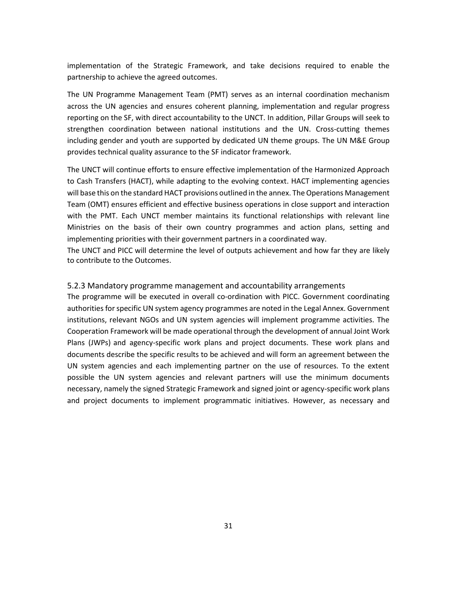implementation of the Strategic Framework, and take decisions required to enable the partnership to achieve the agreed outcomes.

The UN Programme Management Team (PMT) serves as an internal coordination mechanism across the UN agencies and ensures coherent planning, implementation and regular progress reporting on the SF, with direct accountability to the UNCT. In addition, Pillar Groups will seek to strengthen coordination between national institutions and the UN. Cross-cutting themes including gender and youth are supported by dedicated UN theme groups. The UN M&E Group provides technical quality assurance to the SF indicator framework.

The UNCT will continue efforts to ensure effective implementation of the Harmonized Approach to Cash Transfers (HACT), while adapting to the evolving context. HACT implementing agencies will base this on the standard HACT provisions outlined in the annex. The Operations Management Team (OMT) ensures efficient and effective business operations in close support and interaction with the PMT. Each UNCT member maintains its functional relationships with relevant line Ministries on the basis of their own country programmes and action plans, setting and implementing priorities with their government partners in a coordinated way.

The UNCT and PICC will determine the level of outputs achievement and how far they are likely to contribute to the Outcomes.

#### <span id="page-30-0"></span>5.2.3 Mandatory programme management and accountability arrangements

The programme will be executed in overall co-ordination with PICC. Government coordinating authorities for specific UN system agency programmes are noted in the Legal Annex. Government institutions, relevant NGOs and UN system agencies will implement programme activities. The Cooperation Framework will be made operational through the development of annual Joint Work Plans (JWPs) and agency-specific work plans and project documents. These work plans and documents describe the specific results to be achieved and will form an agreement between the UN system agencies and each implementing partner on the use of resources. To the extent possible the UN system agencies and relevant partners will use the minimum documents necessary, namely the signed Strategic Framework and signed joint or agency-specific work plans and project documents to implement programmatic initiatives. However, as necessary and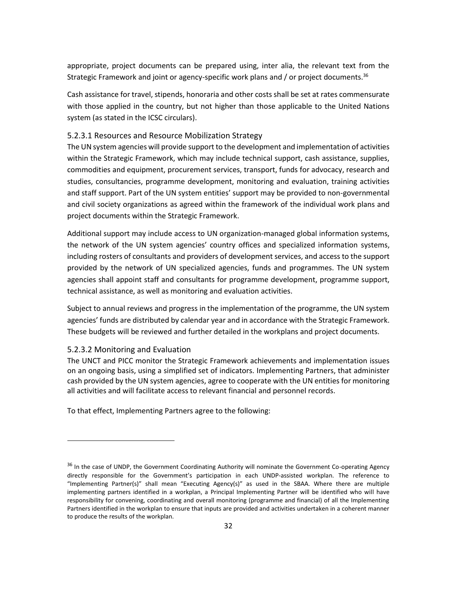appropriate, project documents can be prepared using, inter alia, the relevant text from the Strategic Framework and joint or agency-specific work plans and / or project documents.<sup>36</sup>

Cash assistance for travel, stipends, honoraria and other costs shall be set at rates commensurate with those applied in the country, but not higher than those applicable to the United Nations system (as stated in the ICSC circulars).

#### <span id="page-31-0"></span>5.2.3.1 Resources and Resource Mobilization Strategy

The UN system agencies will provide support to the development and implementation of activities within the Strategic Framework, which may include technical support, cash assistance, supplies, commodities and equipment, procurement services, transport, funds for advocacy, research and studies, consultancies, programme development, monitoring and evaluation, training activities and staff support. Part of the UN system entities' support may be provided to non-governmental and civil society organizations as agreed within the framework of the individual work plans and project documents within the Strategic Framework.

Additional support may include access to UN organization-managed global information systems, the network of the UN system agencies' country offices and specialized information systems, including rosters of consultants and providers of development services, and access to the support provided by the network of UN specialized agencies, funds and programmes. The UN system agencies shall appoint staff and consultants for programme development, programme support, technical assistance, as well as monitoring and evaluation activities.

Subject to annual reviews and progress in the implementation of the programme, the UN system agencies' funds are distributed by calendar year and in accordance with the Strategic Framework. These budgets will be reviewed and further detailed in the workplans and project documents.

#### <span id="page-31-1"></span>5.2.3.2 Monitoring and Evaluation

The UNCT and PICC monitor the Strategic Framework achievements and implementation issues on an ongoing basis, using a simplified set of indicators. Implementing Partners, that administer cash provided by the UN system agencies, agree to cooperate with the UN entities for monitoring all activities and will facilitate access to relevant financial and personnel records.

To that effect, Implementing Partners agree to the following:

<sup>&</sup>lt;sup>36</sup> In the case of UNDP, the Government Coordinating Authority will nominate the Government Co-operating Agency directly responsible for the Government's participation in each UNDP-assisted workplan. The reference to "Implementing Partner(s)" shall mean "Executing Agency(s)" as used in the SBAA. Where there are multiple implementing partners identified in a workplan, a Principal Implementing Partner will be identified who will have responsibility for convening, coordinating and overall monitoring (programme and financial) of all the Implementing Partners identified in the workplan to ensure that inputs are provided and activities undertaken in a coherent manner to produce the results of the workplan.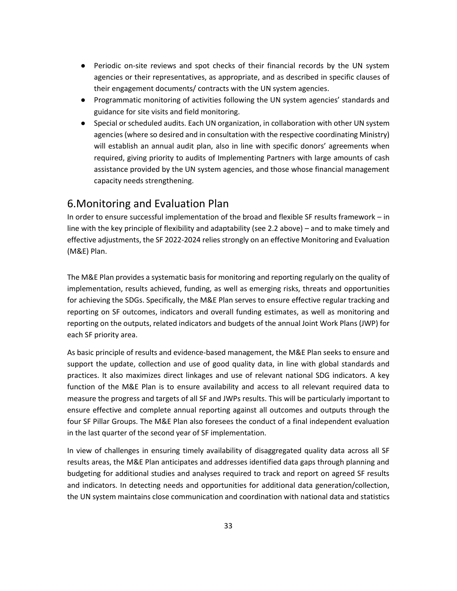- Periodic on-site reviews and spot checks of their financial records by the UN system agencies or their representatives, as appropriate, and as described in specific clauses of their engagement documents/ contracts with the UN system agencies.
- Programmatic monitoring of activities following the UN system agencies' standards and guidance for site visits and field monitoring.
- Special or scheduled audits. Each UN organization, in collaboration with other UN system agencies (where so desired and in consultation with the respective coordinating Ministry) will establish an annual audit plan, also in line with specific donors' agreements when required, giving priority to audits of Implementing Partners with large amounts of cash assistance provided by the UN system agencies, and those whose financial management capacity needs strengthening.

## <span id="page-32-0"></span>6.Monitoring and Evaluation Plan

In order to ensure successful implementation of the broad and flexible SF results framework – in line with the key principle of flexibility and adaptability (see 2.2 above) – and to make timely and effective adjustments, the SF 2022-2024 relies strongly on an effective Monitoring and Evaluation (M&E) Plan.

The M&E Plan provides a systematic basis for monitoring and reporting regularly on the quality of implementation, results achieved, funding, as well as emerging risks, threats and opportunities for achieving the SDGs. Specifically, the M&E Plan serves to ensure effective regular tracking and reporting on SF outcomes, indicators and overall funding estimates, as well as monitoring and reporting on the outputs, related indicators and budgets of the annual Joint Work Plans (JWP) for each SF priority area.

As basic principle of results and evidence-based management, the M&E Plan seeks to ensure and support the update, collection and use of good quality data, in line with global standards and practices. It also maximizes direct linkages and use of relevant national SDG indicators. A key function of the M&E Plan is to ensure availability and access to all relevant required data to measure the progress and targets of all SF and JWPs results. This will be particularly important to ensure effective and complete annual reporting against all outcomes and outputs through the four SF Pillar Groups. The M&E Plan also foresees the conduct of a final independent evaluation in the last quarter of the second year of SF implementation.

In view of challenges in ensuring timely availability of disaggregated quality data across all SF results areas, the M&E Plan anticipates and addresses identified data gaps through planning and budgeting for additional studies and analyses required to track and report on agreed SF results and indicators. In detecting needs and opportunities for additional data generation/collection, the UN system maintains close communication and coordination with national data and statistics